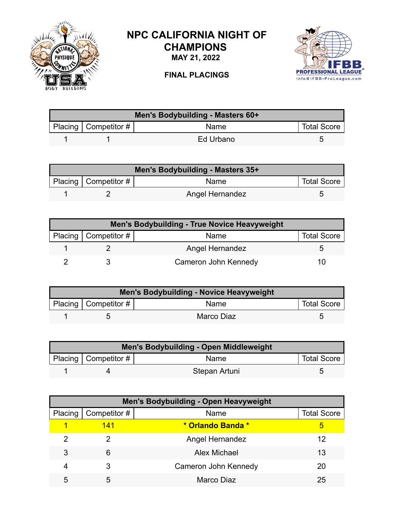

## **NPC CALIFORNIA NIGHT OF CHAMPIONS**

**MAY 21, 2022**



**FINAL PLACINGS**

| Men's Bodybuilding - Masters 60+ |                        |           |                    |  |
|----------------------------------|------------------------|-----------|--------------------|--|
|                                  | Placing   Competitor # | Name      | <b>Total Score</b> |  |
|                                  |                        | Ed Urbano |                    |  |

| Men's Bodybuilding - Masters 35+ |                        |                        |                    |  |
|----------------------------------|------------------------|------------------------|--------------------|--|
|                                  | Placing   Competitor # | Name                   | <b>Total Score</b> |  |
|                                  |                        | <b>Angel Hernandez</b> | h                  |  |

| <b>Men's Bodybuilding - True Novice Heavyweight</b> |                        |                      |                    |  |
|-----------------------------------------------------|------------------------|----------------------|--------------------|--|
|                                                     | Placing   Competitor # | Name                 | <b>Total Score</b> |  |
|                                                     |                        | Angel Hernandez      |                    |  |
|                                                     |                        | Cameron John Kennedy | 10                 |  |

| <b>Men's Bodybuilding - Novice Heavyweight</b> |                        |             |                    |  |
|------------------------------------------------|------------------------|-------------|--------------------|--|
|                                                | Placing   Competitor # | <b>Name</b> | <b>Total Score</b> |  |
|                                                |                        | Marco Diaz  |                    |  |

| Men's Bodybuilding - Open Middleweight |                          |               |                    |  |
|----------------------------------------|--------------------------|---------------|--------------------|--|
|                                        | Placing   Competitor $#$ | Name          | <b>Total Score</b> |  |
|                                        |                          | Stepan Artuni |                    |  |

| <b>Men's Bodybuilding - Open Heavyweight</b> |              |                        |                    |  |
|----------------------------------------------|--------------|------------------------|--------------------|--|
| Placing                                      | Competitor # | Name                   | <b>Total Score</b> |  |
|                                              | 141          | * Orlando Banda *      | 5                  |  |
|                                              |              | <b>Angel Hernandez</b> | 12                 |  |
| 3                                            | 6            | Alex Michael           | 13                 |  |
| 4                                            | 3            | Cameron John Kennedy   | 20                 |  |
| 5                                            | 5            | Marco Diaz             | 25                 |  |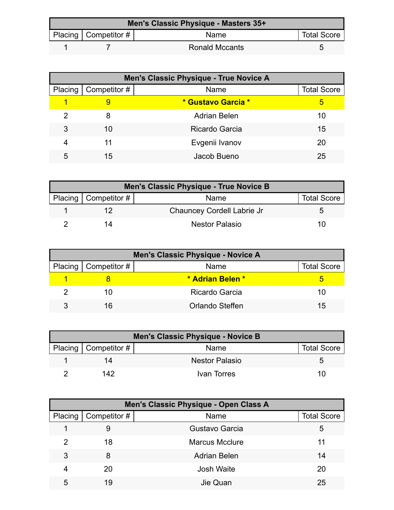| Men's Classic Physique - Masters 35+ |                           |                       |                    |  |
|--------------------------------------|---------------------------|-----------------------|--------------------|--|
|                                      | Placing   Competitor $\#$ | Name                  | <b>Total Score</b> |  |
|                                      |                           | <b>Ronald Mccants</b> |                    |  |

| Men's Classic Physique - True Novice A |              |                     |                    |  |
|----------------------------------------|--------------|---------------------|--------------------|--|
| Placing                                | Competitor # | Name                | <b>Total Score</b> |  |
|                                        |              | * Gustavo Garcia *  | 5                  |  |
| 2                                      | 8            | <b>Adrian Belen</b> | 10                 |  |
| 3                                      | 10           | Ricardo Garcia      | 15                 |  |
| 4                                      | 11           | Evgenii Ivanov      | 20                 |  |
| 5                                      | 15           | Jacob Bueno         | 25                 |  |

| Men's Classic Physique - True Novice B |                        |                            |                    |  |
|----------------------------------------|------------------------|----------------------------|--------------------|--|
|                                        | Placing   Competitor # | Name                       | <b>Total Score</b> |  |
|                                        |                        | Chauncey Cordell Labrie Jr |                    |  |
|                                        | 1Δ                     | Nestor Palasio             | 10                 |  |

| Men's Classic Physique - Novice A |                        |                  |                    |  |
|-----------------------------------|------------------------|------------------|--------------------|--|
|                                   | Placing   Competitor # | Name             | <b>Total Score</b> |  |
|                                   |                        | * Adrian Belen * |                    |  |
|                                   |                        | Ricardo Garcia   | 10                 |  |
|                                   | 16                     | Orlando Steffen  | 15                 |  |

| Men's Classic Physique - Novice B |                        |                       |                    |  |
|-----------------------------------|------------------------|-----------------------|--------------------|--|
|                                   | Placing   Competitor # | Name                  | <b>Total Score</b> |  |
|                                   | 14                     | <b>Nestor Palasio</b> |                    |  |
|                                   | 142                    | Ivan Torres           | 10                 |  |

| Men's Classic Physique - Open Class A |              |                       |                    |  |
|---------------------------------------|--------------|-----------------------|--------------------|--|
| Placing                               | Competitor # | Name                  | <b>Total Score</b> |  |
|                                       | 9            | Gustavo Garcia        | 5                  |  |
| 2                                     | 18           | <b>Marcus Mcclure</b> | 11                 |  |
| 3                                     | 8            | <b>Adrian Belen</b>   | 14                 |  |
| 4                                     | 20           | <b>Josh Waite</b>     | 20                 |  |
| 5                                     | 19           | Jie Quan              | 25                 |  |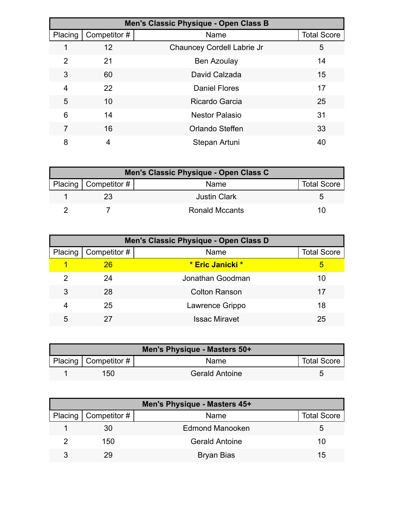| Men's Classic Physique - Open Class B |              |                            |                    |  |
|---------------------------------------|--------------|----------------------------|--------------------|--|
| Placing                               | Competitor # | Name                       | <b>Total Score</b> |  |
|                                       | 12           | Chauncey Cordell Labrie Jr | 5                  |  |
| 2                                     | 21           | <b>Ben Azoulay</b>         | 14                 |  |
| 3                                     | 60           | David Calzada              | 15                 |  |
| 4                                     | 22           | <b>Daniel Flores</b>       | 17                 |  |
| 5                                     | 10           | Ricardo Garcia             | 25                 |  |
| 6                                     | 14           | <b>Nestor Palasio</b>      | 31                 |  |
| 7                                     | 16           | Orlando Steffen            | 33                 |  |
| 8                                     | 4            | Stepan Artuni              | 40                 |  |

| Men's Classic Physique - Open Class C |                        |                     |                    |  |
|---------------------------------------|------------------------|---------------------|--------------------|--|
|                                       | Placing   Competitor # | Name                | <b>Total Score</b> |  |
|                                       |                        | <b>Justin Clark</b> |                    |  |
|                                       |                        | Ronald Mccants      | 10                 |  |

| Men's Classic Physique - Open Class D |              |                      |                    |  |
|---------------------------------------|--------------|----------------------|--------------------|--|
| Placing                               | Competitor # | Name                 | <b>Total Score</b> |  |
| 1                                     | 26           | * Eric Janicki *     | 5                  |  |
| 2                                     | 24           | Jonathan Goodman     | 10                 |  |
| 3                                     | 28           | <b>Colton Ranson</b> | 17                 |  |
| 4                                     | 25           | Lawrence Grippo      | 18                 |  |
| 5                                     |              | <b>Issac Miravet</b> | 25                 |  |

| Men's Physique - Masters 50+ |                          |                       |                    |  |
|------------------------------|--------------------------|-----------------------|--------------------|--|
|                              | Placing   Competitor $#$ | Name                  | <b>Total Score</b> |  |
|                              | 150                      | <b>Gerald Antoine</b> |                    |  |

| Men's Physique - Masters 45+ |                              |                        |                    |  |
|------------------------------|------------------------------|------------------------|--------------------|--|
|                              | Placing $\vert$ Competitor # | <b>Name</b>            | <b>Total Score</b> |  |
|                              | 30                           | <b>Edmond Manooken</b> | G                  |  |
|                              | 150                          | <b>Gerald Antoine</b>  | 10                 |  |
| ર                            | 29                           | Bryan Bias             | 15                 |  |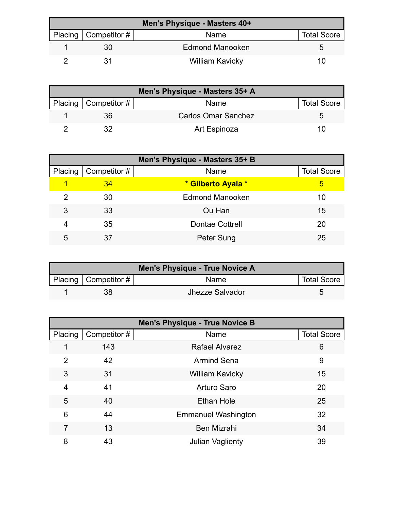| Men's Physique - Masters 40+ |                        |                        |                    |  |
|------------------------------|------------------------|------------------------|--------------------|--|
|                              | Placing   Competitor # | Name                   | <b>Total Score</b> |  |
|                              | 30                     | <b>Edmond Manooken</b> |                    |  |
|                              |                        | <b>William Kavicky</b> | 10                 |  |

| Men's Physique - Masters 35+ A |                        |                            |                    |  |
|--------------------------------|------------------------|----------------------------|--------------------|--|
|                                | Placing   Competitor # | Name                       | <b>Total Score</b> |  |
|                                | 36                     | <b>Carlos Omar Sanchez</b> |                    |  |
|                                |                        | Art Espinoza               | 10                 |  |

| Men's Physique - Masters 35+ B |              |                        |                    |  |
|--------------------------------|--------------|------------------------|--------------------|--|
| Placing                        | Competitor # | Name                   | <b>Total Score</b> |  |
|                                | 34           | * Gilberto Ayala *     | 5                  |  |
| 2                              | 30           | <b>Edmond Manooken</b> | 10                 |  |
| 3                              | 33           | Ou Han                 | 15                 |  |
| 4                              | 35           | <b>Dontae Cottrell</b> | 20                 |  |
| 5                              | 37           | Peter Sung             | 25                 |  |

| Men's Physique - True Novice A |                           |                 |                    |  |
|--------------------------------|---------------------------|-----------------|--------------------|--|
|                                | Placing   Competitor $\#$ | <b>Name</b>     | <b>Total Score</b> |  |
|                                |                           | Jhezze Salvador |                    |  |

| <b>Men's Physique - True Novice B</b> |              |                            |                    |
|---------------------------------------|--------------|----------------------------|--------------------|
| Placing                               | Competitor # | Name                       | <b>Total Score</b> |
|                                       | 143          | <b>Rafael Alvarez</b>      | 6                  |
| 2                                     | 42           | <b>Armind Sena</b>         | 9                  |
| 3                                     | 31           | <b>William Kavicky</b>     | 15                 |
| 4                                     | 41           | <b>Arturo Saro</b>         | 20                 |
| 5                                     | 40           | <b>Ethan Hole</b>          | 25                 |
| 6                                     | 44           | <b>Emmanuel Washington</b> | 32                 |
| 7                                     | 13           | <b>Ben Mizrahi</b>         | 34                 |
| 8                                     | 43           | <b>Julian Vaglienty</b>    | 39                 |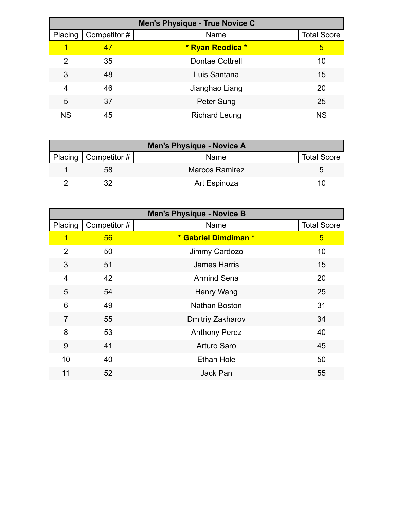| Men's Physique - True Novice C |              |                        |                    |  |
|--------------------------------|--------------|------------------------|--------------------|--|
| Placing                        | Competitor # | Name                   | <b>Total Score</b> |  |
| 1                              | 47           | * Ryan Reodica *       | 5                  |  |
| 2                              | 35           | <b>Dontae Cottrell</b> | 10                 |  |
| 3                              | 48           | Luis Santana           | 15                 |  |
| 4                              | 46           | Jianghao Liang         | 20                 |  |
| 5                              | 37           | Peter Sung             | 25                 |  |
| <b>NS</b>                      | 45           | <b>Richard Leung</b>   | <b>NS</b>          |  |

| <b>Men's Physique - Novice A</b> |                |                    |  |  |
|----------------------------------|----------------|--------------------|--|--|
| Placing $\vert$ Competitor #     | Name           | <b>Total Score</b> |  |  |
| 58                               | Marcos Ramirez |                    |  |  |
|                                  | Art Espinoza   | 10                 |  |  |

| <b>Men's Physique - Novice B</b> |              |                      |                    |  |
|----------------------------------|--------------|----------------------|--------------------|--|
| Placing                          | Competitor # | Name                 | <b>Total Score</b> |  |
| 1                                | 56           | * Gabriel Dimdiman * | 5                  |  |
| $\overline{2}$                   | 50           | Jimmy Cardozo        | 10                 |  |
| 3                                | 51           | <b>James Harris</b>  | 15                 |  |
| $\overline{4}$                   | 42           | <b>Armind Sena</b>   | 20                 |  |
| 5                                | 54           | Henry Wang           | 25                 |  |
| 6                                | 49           | <b>Nathan Boston</b> | 31                 |  |
| $\overline{7}$                   | 55           | Dmitriy Zakharov     | 34                 |  |
| 8                                | 53           | <b>Anthony Perez</b> | 40                 |  |
| 9                                | 41           | <b>Arturo Saro</b>   | 45                 |  |
| 10                               | 40           | <b>Ethan Hole</b>    | 50                 |  |
| 11                               | 52           | Jack Pan             | 55                 |  |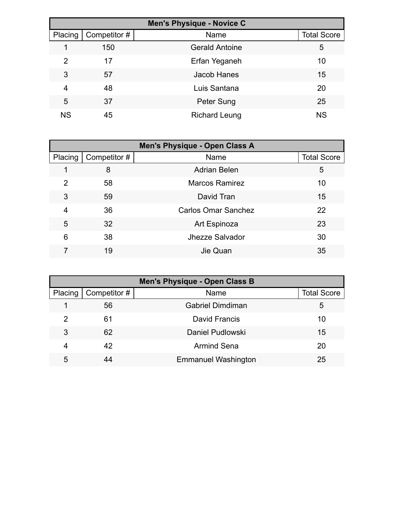|           |              | <b>Men's Physique - Novice C</b> |                    |
|-----------|--------------|----------------------------------|--------------------|
| Placing   | Competitor # | Name                             | <b>Total Score</b> |
|           | 150          | <b>Gerald Antoine</b>            | 5                  |
| 2         | 17           | Erfan Yeganeh                    | 10                 |
| 3         | 57           | <b>Jacob Hanes</b>               | 15                 |
| 4         | 48           | Luis Santana                     | 20                 |
| 5         | 37           | Peter Sung                       | 25                 |
| <b>NS</b> | 45           | <b>Richard Leung</b>             | <b>NS</b>          |

| <b>Men's Physique - Open Class A</b> |              |                            |                    |
|--------------------------------------|--------------|----------------------------|--------------------|
| Placing                              | Competitor # | Name                       | <b>Total Score</b> |
|                                      | 8            | <b>Adrian Belen</b>        | 5                  |
| 2                                    | 58           | <b>Marcos Ramirez</b>      | 10                 |
| 3                                    | 59           | David Tran                 | 15                 |
| 4                                    | 36           | <b>Carlos Omar Sanchez</b> | 22                 |
| 5                                    | 32           | Art Espinoza               | 23                 |
| 6                                    | 38           | Jhezze Salvador            | 30                 |
|                                      | 19           | Jie Quan                   | 35                 |

| <b>Men's Physique - Open Class B</b> |              |                            |                    |
|--------------------------------------|--------------|----------------------------|--------------------|
| Placing                              | Competitor # | Name                       | <b>Total Score</b> |
|                                      | 56           | <b>Gabriel Dimdiman</b>    | 5                  |
| 2                                    | 61           | David Francis              | 10                 |
| 3                                    | 62           | Daniel Pudlowski           | 15                 |
| 4                                    | 42           | <b>Armind Sena</b>         | 20                 |
| 5                                    |              | <b>Emmanuel Washington</b> | 25                 |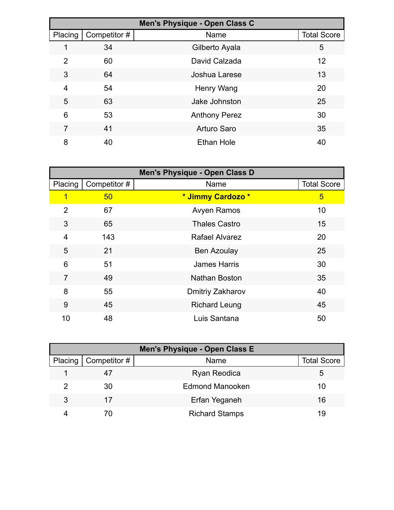| Men's Physique - Open Class C |              |                      |                    |
|-------------------------------|--------------|----------------------|--------------------|
| Placing                       | Competitor # | Name                 | <b>Total Score</b> |
|                               | 34           | Gilberto Ayala       | 5                  |
| $\overline{2}$                | 60           | David Calzada        | 12                 |
| 3                             | 64           | Joshua Larese        | 13                 |
| 4                             | 54           | Henry Wang           | 20                 |
| 5                             | 63           | Jake Johnston        | 25                 |
| 6                             | 53           | <b>Anthony Perez</b> | 30                 |
| 7                             | 41           | Arturo Saro          | 35                 |
| 8                             | 40           | <b>Ethan Hole</b>    | 40                 |

|                |              | <b>Men's Physique - Open Class D</b> |                    |
|----------------|--------------|--------------------------------------|--------------------|
| Placing        | Competitor # | Name                                 | <b>Total Score</b> |
| 1              | 50           | * Jimmy Cardozo *                    | 5                  |
| $\overline{2}$ | 67           | <b>Avyen Ramos</b>                   | 10                 |
| 3              | 65           | <b>Thales Castro</b>                 | 15                 |
| 4              | 143          | Rafael Alvarez                       | 20                 |
| 5              | 21           | <b>Ben Azoulay</b>                   | 25                 |
| 6              | 51           | <b>James Harris</b>                  | 30                 |
| $\overline{7}$ | 49           | Nathan Boston                        | 35                 |
| 8              | 55           | Dmitriy Zakharov                     | 40                 |
| 9              | 45           | <b>Richard Leung</b>                 | 45                 |
| 10             | 48           | Luis Santana                         | 50                 |

| <b>Men's Physique - Open Class E</b> |                        |                        |                    |  |
|--------------------------------------|------------------------|------------------------|--------------------|--|
|                                      | Placing   Competitor # | Name                   | <b>Total Score</b> |  |
|                                      |                        | <b>Ryan Reodica</b>    | 5                  |  |
|                                      | 30                     | <b>Edmond Manooken</b> | 10                 |  |
| 3                                    |                        | Erfan Yeganeh          | 16                 |  |
|                                      |                        | <b>Richard Stamps</b>  | 19                 |  |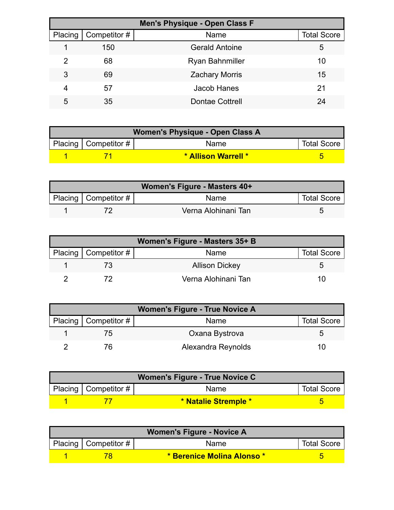| <b>Men's Physique - Open Class F</b> |              |                        |                    |  |
|--------------------------------------|--------------|------------------------|--------------------|--|
| Placing                              | Competitor # | Name                   | <b>Total Score</b> |  |
|                                      | 150          | <b>Gerald Antoine</b>  | 5                  |  |
| 2                                    | 68           | <b>Ryan Bahnmiller</b> | 10                 |  |
| 3                                    | 69           | <b>Zachary Morris</b>  | 15                 |  |
| 4                                    | 57           | <b>Jacob Hanes</b>     | 21                 |  |
| 5                                    | 35           | <b>Dontae Cottrell</b> | 24                 |  |

| Women's Physique - Open Class A |                        |                             |                    |  |
|---------------------------------|------------------------|-----------------------------|--------------------|--|
|                                 | Placing   Competitor # | Name                        | <b>Total Score</b> |  |
|                                 |                        | <b>* Allison Warrell */</b> |                    |  |

| Women's Figure - Masters 40+ |                          |                     |                    |  |
|------------------------------|--------------------------|---------------------|--------------------|--|
|                              | Placing   Competitor $#$ | <b>Name</b>         | <b>Total Score</b> |  |
|                              |                          | Verna Alohinani Tan |                    |  |

| Women's Figure - Masters 35+ B |                        |                       |                    |
|--------------------------------|------------------------|-----------------------|--------------------|
|                                | Placing   Competitor # | Name                  | <b>Total Score</b> |
|                                |                        | <b>Allison Dickey</b> |                    |
|                                |                        | Verna Alohinani Tan   | 1 ( )              |

| <b>Women's Figure - True Novice A</b> |                        |                    |                    |
|---------------------------------------|------------------------|--------------------|--------------------|
|                                       | Placing   Competitor # | Name               | <b>Total Score</b> |
|                                       | $\overline{5}$         | Oxana Bystrova     |                    |
|                                       |                        | Alexandra Reynolds |                    |

| Women's Figure - True Novice C |                        |                      |                    |  |
|--------------------------------|------------------------|----------------------|--------------------|--|
|                                | Placing   Competitor # | <b>Name</b>          | <b>Total Score</b> |  |
|                                |                        | * Natalie Stremple * |                    |  |

| <b>Women's Figure - Novice A</b> |                        |                                    |                    |
|----------------------------------|------------------------|------------------------------------|--------------------|
|                                  | Placing   Competitor # | Name                               | <b>Total Score</b> |
|                                  |                        | <u>* Berenice Molina Alonso * </u> |                    |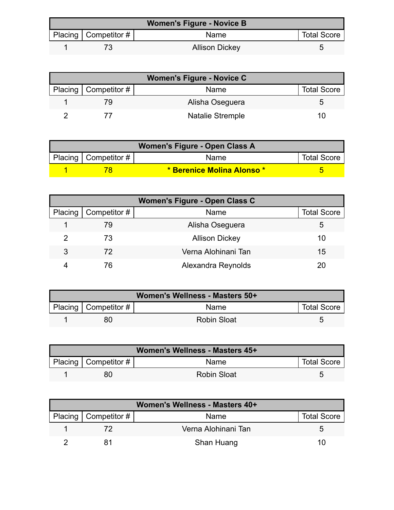| <b>Women's Figure - Novice B</b> |                        |                       |                    |
|----------------------------------|------------------------|-----------------------|--------------------|
|                                  | Placing   Competitor # | Name                  | <b>Total Score</b> |
|                                  |                        | <b>Allison Dickey</b> |                    |

| <b>Women's Figure - Novice C</b> |                        |                         |                    |  |
|----------------------------------|------------------------|-------------------------|--------------------|--|
|                                  | Placing   Competitor # | Name                    | <b>Total Score</b> |  |
|                                  |                        | Alisha Oseguera         |                    |  |
|                                  |                        | <b>Natalie Stremple</b> | 10                 |  |

| Women's Figure - Open Class A |                        |                            |                    |  |
|-------------------------------|------------------------|----------------------------|--------------------|--|
|                               | Placing   Competitor # | Name                       | <b>Total Score</b> |  |
|                               |                        | * Berenice Molina Alonso * |                    |  |

| Women's Figure - Open Class C |                     |                       |                    |  |
|-------------------------------|---------------------|-----------------------|--------------------|--|
| Placing                       | $\mid$ Competitor # | Name                  | <b>Total Score</b> |  |
|                               | 79                  | Alisha Oseguera       | b                  |  |
|                               | 73                  | <b>Allison Dickey</b> | 10                 |  |
| 3                             | 72                  | Verna Alohinani Tan   | 15                 |  |
|                               | 76                  | Alexandra Reynolds    |                    |  |

| Women's Wellness - Masters 50+ |                          |                    |                    |
|--------------------------------|--------------------------|--------------------|--------------------|
|                                | Placing   Competitor $#$ | <b>Name</b>        | <b>Total Score</b> |
|                                | 80                       | <b>Robin Sloat</b> |                    |

| Women's Wellness - Masters 45+ |                        |                    |                    |  |
|--------------------------------|------------------------|--------------------|--------------------|--|
|                                | Placing   Competitor # | <b>Name</b>        | <b>Total Score</b> |  |
|                                | 80                     | <b>Robin Sloat</b> |                    |  |

| Women's Wellness - Masters 40+ |                          |                     |                    |  |
|--------------------------------|--------------------------|---------------------|--------------------|--|
|                                | Placing   Competitor $#$ | Name                | <b>Total Score</b> |  |
|                                |                          | Verna Alohinani Tan |                    |  |
|                                |                          | Shan Huang          | 10                 |  |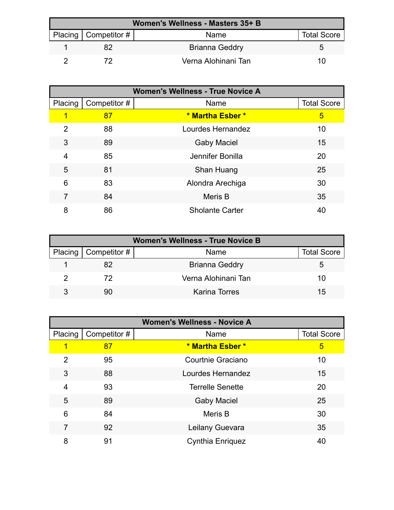| Women's Wellness - Masters 35+ B |                        |                       |                    |  |
|----------------------------------|------------------------|-----------------------|--------------------|--|
|                                  | Placing   Competitor # | <b>Name</b>           | <b>Total Score</b> |  |
|                                  |                        | <b>Brianna Geddry</b> |                    |  |
|                                  |                        | Verna Alohinani Tan   | 10                 |  |

| <b>Women's Wellness - True Novice A</b> |              |                        |                    |
|-----------------------------------------|--------------|------------------------|--------------------|
| Placing                                 | Competitor # | Name                   | <b>Total Score</b> |
| 1                                       | 87           | * Martha Esber *       | 5                  |
| 2                                       | 88           | Lourdes Hernandez      | 10                 |
| 3                                       | 89           | <b>Gaby Maciel</b>     | 15                 |
| 4                                       | 85           | Jennifer Bonilla       | 20                 |
| 5                                       | 81           | Shan Huang             | 25                 |
| 6                                       | 83           | Alondra Arechiga       | 30                 |
| 7                                       | 84           | Meris B                | 35                 |
| 8                                       | 86           | <b>Sholante Carter</b> | 40                 |

| <b>Women's Wellness - True Novice B</b> |                        |                       |                    |  |
|-----------------------------------------|------------------------|-----------------------|--------------------|--|
|                                         | Placing   Competitor # | <b>Name</b>           | <b>Total Score</b> |  |
|                                         |                        | <b>Brianna Geddry</b> | <sup>t</sup>       |  |
|                                         | 72                     | Verna Alohinani Tan   | 10                 |  |
|                                         | 90                     | Karina Torres         | 15                 |  |

| <b>Women's Wellness - Novice A</b> |              |                         |                    |
|------------------------------------|--------------|-------------------------|--------------------|
| Placing                            | Competitor # | Name                    | <b>Total Score</b> |
|                                    | 87           | * Martha Esber *        | 5                  |
| 2                                  | 95           | Courtnie Graciano       | 10                 |
| 3                                  | 88           | Lourdes Hernandez       | 15                 |
| 4                                  | 93           | <b>Terrelle Senette</b> | 20                 |
| 5                                  | 89           | <b>Gaby Maciel</b>      | 25                 |
| 6                                  | 84           | Meris B                 | 30                 |
| 7                                  | 92           | Leilany Guevara         | 35                 |
| 8                                  | 91           | <b>Cynthia Enriquez</b> | 40                 |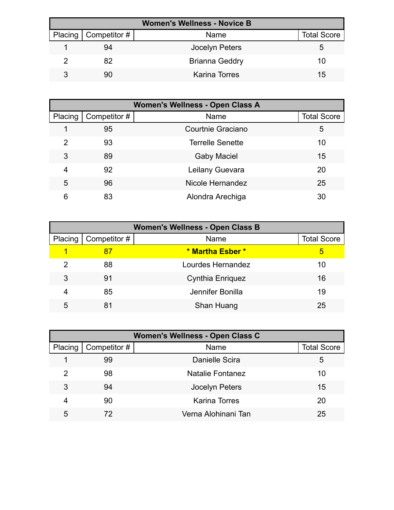| <b>Women's Wellness - Novice B</b> |                              |                       |                    |  |
|------------------------------------|------------------------------|-----------------------|--------------------|--|
|                                    | Placing $\vert$ Competitor # | Name                  | <b>Total Score</b> |  |
|                                    | 94                           | Jocelyn Peters        | G                  |  |
|                                    | 82                           | <b>Brianna Geddry</b> | 10                 |  |
|                                    | 90                           | Karina Torres         | 15                 |  |

| <b>Women's Wellness - Open Class A</b> |              |                         |                    |
|----------------------------------------|--------------|-------------------------|--------------------|
| Placing                                | Competitor # | Name                    | <b>Total Score</b> |
|                                        | 95           | Courtnie Graciano       | 5                  |
| 2                                      | 93           | <b>Terrelle Senette</b> | 10                 |
| 3                                      | 89           | <b>Gaby Maciel</b>      | 15                 |
| 4                                      | 92           | Leilany Guevara         | 20                 |
| 5                                      | 96           | Nicole Hernandez        | 25                 |
| 6                                      | 83           | Alondra Arechiga        | 30                 |

| <b>Women's Wellness - Open Class B</b> |              |                         |                    |  |
|----------------------------------------|--------------|-------------------------|--------------------|--|
| Placing                                | Competitor # | Name                    | <b>Total Score</b> |  |
|                                        |              | * Martha Esber *        | 5                  |  |
| 2                                      | 88           | Lourdes Hernandez       | 10                 |  |
| 3                                      | 91           | <b>Cynthia Enriquez</b> | 16                 |  |
| 4                                      | 85           | Jennifer Bonilla        | 19                 |  |
| 5                                      | 81           | Shan Huang              | 25                 |  |

| Women's Wellness - Open Class C |              |                         |                    |  |
|---------------------------------|--------------|-------------------------|--------------------|--|
| Placing                         | Competitor # | Name                    | <b>Total Score</b> |  |
|                                 | 99           | Danielle Scira          | 5                  |  |
| 2                               | 98           | <b>Natalie Fontanez</b> | 10                 |  |
| 3                               | 94           | Jocelyn Peters          | 15                 |  |
| 4                               | 90           | <b>Karina Torres</b>    | 20                 |  |
| 5                               | 72           | Verna Alohinani Tan     | 25                 |  |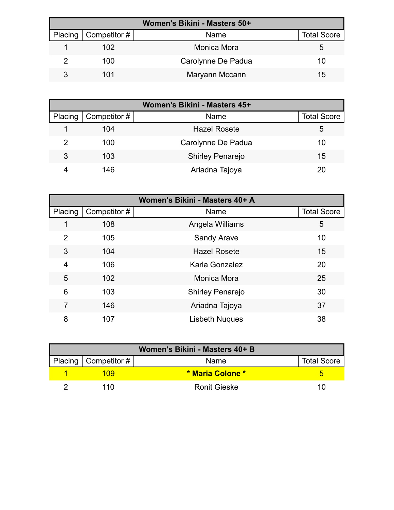| Women's Bikini - Masters 50+ |                        |                    |                    |  |
|------------------------------|------------------------|--------------------|--------------------|--|
|                              | Placing   Competitor # | Name               | <b>Total Score</b> |  |
|                              | 102                    | Monica Mora        | G                  |  |
|                              | 100                    | Carolynne De Padua | 10                 |  |
|                              | 101                    | Maryann Mccann     | 15                 |  |

| Women's Bikini - Masters 45+ |              |                         |                    |  |
|------------------------------|--------------|-------------------------|--------------------|--|
| Placing                      | Competitor # | Name                    | <b>Total Score</b> |  |
|                              | 104          | <b>Hazel Rosete</b>     | ა                  |  |
| 2                            | 100          | Carolynne De Padua      | 10                 |  |
| 3                            | 103          | <b>Shirley Penarejo</b> | 15                 |  |
|                              | 146          | Ariadna Tajoya          | 20                 |  |

| Women's Bikini - Masters 40+ A |              |                         |                    |
|--------------------------------|--------------|-------------------------|--------------------|
| Placing                        | Competitor # | Name                    | <b>Total Score</b> |
| 1                              | 108          | Angela Williams         | 5                  |
| 2                              | 105          | <b>Sandy Arave</b>      | 10                 |
| 3                              | 104          | <b>Hazel Rosete</b>     | 15                 |
| 4                              | 106          | Karla Gonzalez          | 20                 |
| 5                              | 102          | Monica Mora             | 25                 |
| 6                              | 103          | <b>Shirley Penarejo</b> | 30                 |
| 7                              | 146          | Ariadna Tajoya          | 37                 |
| 8                              | 107          | <b>Lisbeth Nuques</b>   | 38                 |

| Women's Bikini - Masters 40+ B |                          |                         |                    |  |
|--------------------------------|--------------------------|-------------------------|--------------------|--|
|                                | Placing   Competitor $#$ | Name                    | <b>Total Score</b> |  |
|                                | 109                      | <b>* Maria Colone *</b> |                    |  |
|                                | 11 N                     | <b>Ronit Gieske</b>     | 10                 |  |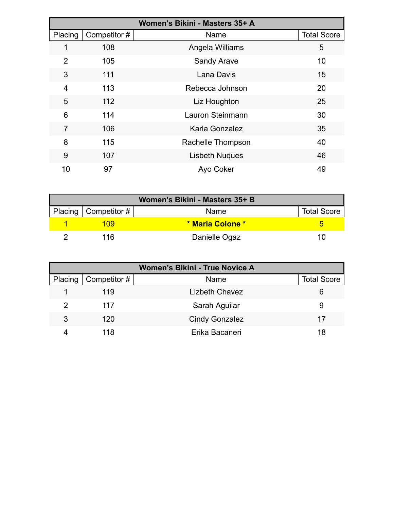|                | Women's Bikini - Masters 35+ A |                       |                    |  |
|----------------|--------------------------------|-----------------------|--------------------|--|
| Placing        | Competitor #                   | Name                  | <b>Total Score</b> |  |
| 1              | 108                            | Angela Williams       | 5                  |  |
| $\overline{2}$ | 105                            | <b>Sandy Arave</b>    | 10                 |  |
| 3              | 111                            | Lana Davis            | 15                 |  |
| $\overline{4}$ | 113                            | Rebecca Johnson       | 20                 |  |
| 5              | 112                            | Liz Houghton          | 25                 |  |
| 6              | 114                            | Lauron Steinmann      | 30                 |  |
| 7              | 106                            | Karla Gonzalez        | 35                 |  |
| 8              | 115                            | Rachelle Thompson     | 40                 |  |
| 9              | 107                            | <b>Lisbeth Nuques</b> | 46                 |  |
| 10             | 97                             | Ayo Coker             | 49                 |  |

| Women's Bikini - Masters 35+ B |                         |                    |  |  |
|--------------------------------|-------------------------|--------------------|--|--|
| Placing   Competitor #         | Name                    | <b>Total Score</b> |  |  |
| 109                            | <b>* Maria Colone *</b> |                    |  |  |
| 116                            | Danielle Ogaz           | 10                 |  |  |

| <b>Women's Bikini - True Novice A</b> |                        |                       |                    |
|---------------------------------------|------------------------|-----------------------|--------------------|
|                                       | Placing   Competitor # | Name                  | <b>Total Score</b> |
|                                       | 119                    | <b>Lizbeth Chavez</b> | 6                  |
|                                       | 117                    | Sarah Aguilar         | 9                  |
| 3                                     | 120                    | <b>Cindy Gonzalez</b> | 17                 |
|                                       | 118                    | Erika Bacaneri        | 18                 |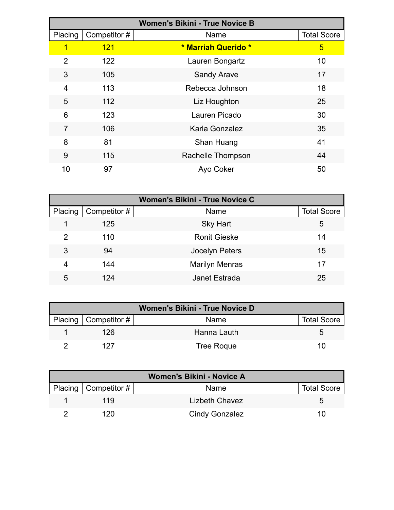|                |              | <b>Women's Bikini - True Novice B</b> |                    |
|----------------|--------------|---------------------------------------|--------------------|
| Placing        | Competitor # | Name                                  | <b>Total Score</b> |
| 1              | 121          | * Marriah Querido *                   | 5                  |
| $\overline{2}$ | 122          | Lauren Bongartz                       | 10                 |
| 3              | 105          | <b>Sandy Arave</b>                    | 17                 |
| 4              | 113          | Rebecca Johnson                       | 18                 |
| 5              | 112          | Liz Houghton                          | 25                 |
| 6              | 123          | Lauren Picado                         | 30                 |
| $\overline{7}$ | 106          | Karla Gonzalez                        | 35                 |
| 8              | 81           | Shan Huang                            | 41                 |
| 9              | 115          | Rachelle Thompson                     | 44                 |
| 10             | 97           | Ayo Coker                             | 50                 |

| <b>Women's Bikini - True Novice C</b> |              |                       |                    |  |
|---------------------------------------|--------------|-----------------------|--------------------|--|
| Placing                               | Competitor # | Name                  | <b>Total Score</b> |  |
|                                       | 125          | <b>Sky Hart</b>       | 5                  |  |
| 2                                     | 110          | <b>Ronit Gieske</b>   | 14                 |  |
| 3                                     | 94           | Jocelyn Peters        | 15                 |  |
| 4                                     | 144          | <b>Marilyn Menras</b> | 17                 |  |
| 5                                     | 124          | Janet Estrada         | 25                 |  |

| <b>Women's Bikini - True Novice D</b> |                   |                    |  |  |
|---------------------------------------|-------------------|--------------------|--|--|
| Placing   Competitor $#$              | <b>Name</b>       | <b>Total Score</b> |  |  |
| 126                                   | Hanna Lauth       | 5.                 |  |  |
| 127                                   | <b>Tree Roque</b> | 10                 |  |  |

| <b>Women's Bikini - Novice A</b> |                       |                    |  |  |
|----------------------------------|-----------------------|--------------------|--|--|
| Placing   Competitor $#$         | Name                  | <b>Total Score</b> |  |  |
| 119                              | <b>Lizbeth Chavez</b> |                    |  |  |
| 120                              | <b>Cindy Gonzalez</b> | 10                 |  |  |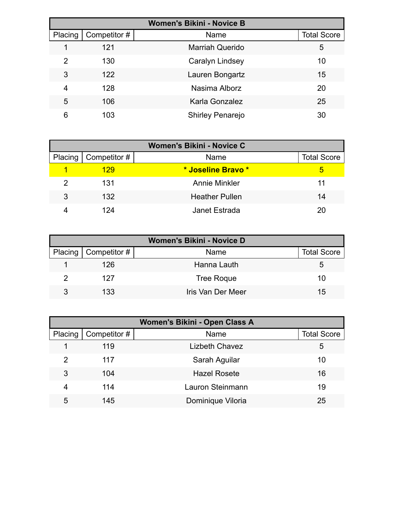|         |              | <b>Women's Bikini - Novice B</b> |                    |
|---------|--------------|----------------------------------|--------------------|
| Placing | Competitor # | Name                             | <b>Total Score</b> |
|         | 121          | <b>Marriah Querido</b>           | 5                  |
| 2       | 130          | Caralyn Lindsey                  | 10                 |
| 3       | 122          | Lauren Bongartz                  | 15                 |
| 4       | 128          | Nasima Alborz                    | 20                 |
| 5       | 106          | Karla Gonzalez                   | 25                 |
| 6       | 103          | <b>Shirley Penarejo</b>          | 30                 |

| Women's Bikini - Novice C |                        |                       |                    |  |
|---------------------------|------------------------|-----------------------|--------------------|--|
|                           | Placing   Competitor # | Name                  | <b>Total Score</b> |  |
|                           | 129                    | * Joseline Bravo *    | 5                  |  |
|                           | 131                    | <b>Annie Minkler</b>  | 11                 |  |
| 3                         | 132                    | <b>Heather Pullen</b> | 14                 |  |
|                           | 124                    | Janet Estrada         | 20                 |  |

| <b>Women's Bikini - Novice D</b> |                   |                    |  |  |
|----------------------------------|-------------------|--------------------|--|--|
| Placing   Competitor #           | Name              | <b>Total Score</b> |  |  |
| 126                              | Hanna Lauth       | 5.                 |  |  |
| 127                              | <b>Tree Roque</b> | 10                 |  |  |
| 133                              | Iris Van Der Meer | 15                 |  |  |

| <b>Women's Bikini - Open Class A</b> |              |                       |                    |
|--------------------------------------|--------------|-----------------------|--------------------|
| Placing                              | Competitor # | Name                  | <b>Total Score</b> |
|                                      | 119          | <b>Lizbeth Chavez</b> | 5                  |
| $\mathcal{P}$                        | 117          | Sarah Aguilar         | 10                 |
| 3                                    | 104          | <b>Hazel Rosete</b>   | 16                 |
| 4                                    | 114          | Lauron Steinmann      | 19                 |
| 5                                    | 145          | Dominique Viloria     | 25                 |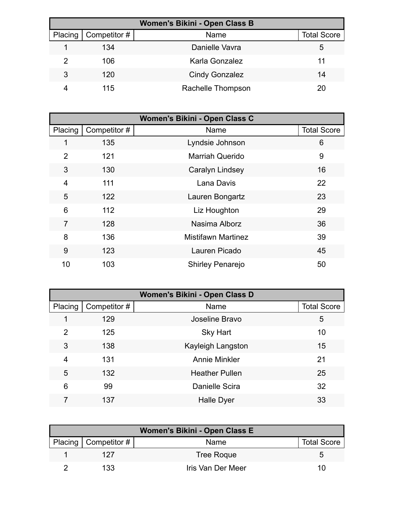| Women's Bikini - Open Class B |              |                       |                    |  |
|-------------------------------|--------------|-----------------------|--------------------|--|
| Placing                       | Competitor # | Name                  | <b>Total Score</b> |  |
|                               | 134          | Danielle Vavra        | 5                  |  |
| 2                             | 106          | Karla Gonzalez        | 11                 |  |
| 3                             | 120          | <b>Cindy Gonzalez</b> | 14                 |  |
|                               | 115          | Rachelle Thompson     | 20                 |  |

|                |              | Women's Bikini - Open Class C |                    |
|----------------|--------------|-------------------------------|--------------------|
| Placing        | Competitor # | Name                          | <b>Total Score</b> |
| 1              | 135          | Lyndsie Johnson               | 6                  |
| $\overline{2}$ | 121          | <b>Marriah Querido</b>        | 9                  |
| 3              | 130          | Caralyn Lindsey               | 16                 |
| 4              | 111          | Lana Davis                    | 22                 |
| 5              | 122          | Lauren Bongartz               | 23                 |
| 6              | 112          | Liz Houghton                  | 29                 |
| 7              | 128          | Nasima Alborz                 | 36                 |
| 8              | 136          | <b>Mistifawn Martinez</b>     | 39                 |
| 9              | 123          | Lauren Picado                 | 45                 |
| 10             | 103          | <b>Shirley Penarejo</b>       | 50                 |

| Women's Bikini - Open Class D |              |                       |                    |  |
|-------------------------------|--------------|-----------------------|--------------------|--|
| Placing                       | Competitor # | Name                  | <b>Total Score</b> |  |
| 1                             | 129          | Joseline Bravo        | 5                  |  |
| $\overline{2}$                | 125          | <b>Sky Hart</b>       | 10                 |  |
| 3                             | 138          | Kayleigh Langston     | 15                 |  |
| 4                             | 131          | <b>Annie Minkler</b>  | 21                 |  |
| 5                             | 132          | <b>Heather Pullen</b> | 25                 |  |
| 6                             | 99           | Danielle Scira        | 32                 |  |
|                               | 137          | Halle Dyer            | 33                 |  |

| Women's Bikini - Open Class E |                          |                   |                    |  |
|-------------------------------|--------------------------|-------------------|--------------------|--|
|                               | Placing   Competitor $#$ | Name              | <b>Total Score</b> |  |
|                               | 127                      | <b>Tree Roque</b> | h                  |  |
|                               | 133                      | Iris Van Der Meer | 10                 |  |